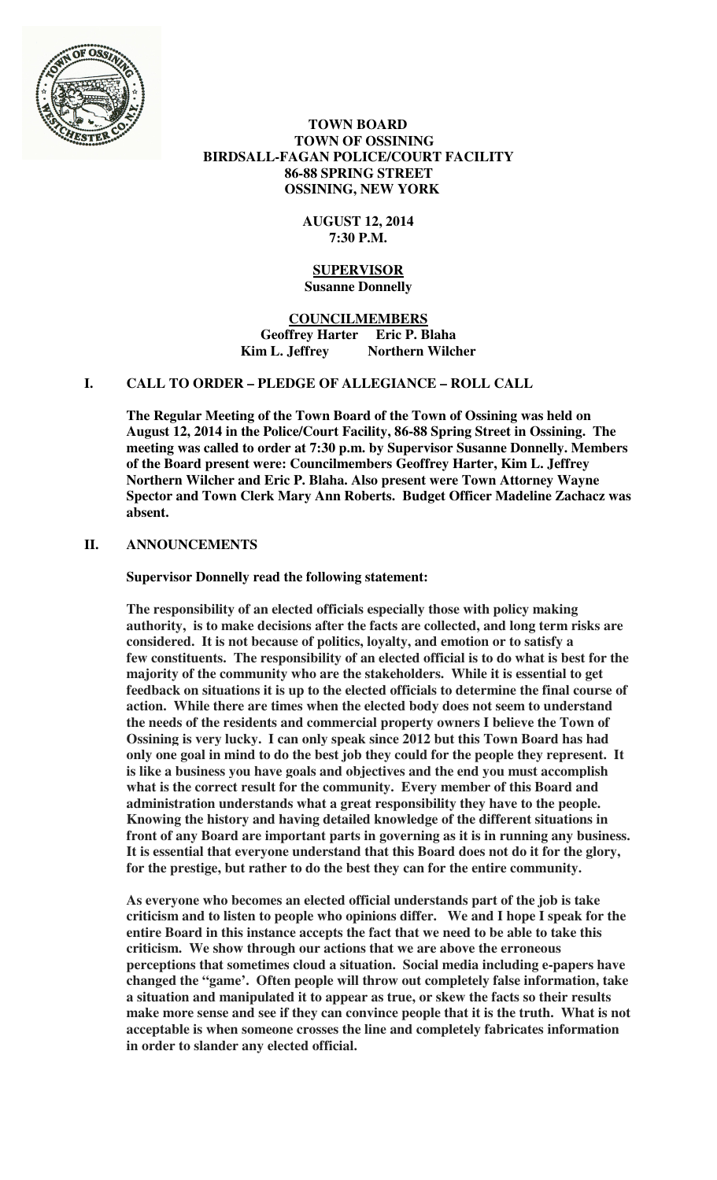

 **TOWN BOARD TOWN OF OSSINING BIRDSALL-FAGAN POLICE/COURT FACILITY 86-88 SPRING STREET OSSINING, NEW YORK** 

## **AUGUST 12, 2014 7:30 P.M.**

#### **SUPERVISOR Susanne Donnelly**

**COUNCILMEMBERS Geoffrey Harter Eric P. Blaha**  Kim L. Jeffrey Northern Wilcher

# **I. CALL TO ORDER – PLEDGE OF ALLEGIANCE – ROLL CALL**

**The Regular Meeting of the Town Board of the Town of Ossining was held on August 12, 2014 in the Police/Court Facility, 86-88 Spring Street in Ossining. The meeting was called to order at 7:30 p.m. by Supervisor Susanne Donnelly. Members of the Board present were: Councilmembers Geoffrey Harter, Kim L. Jeffrey Northern Wilcher and Eric P. Blaha. Also present were Town Attorney Wayne Spector and Town Clerk Mary Ann Roberts. Budget Officer Madeline Zachacz was absent.** 

## **II. ANNOUNCEMENTS**

**Supervisor Donnelly read the following statement:** 

**The responsibility of an elected officials especially those with policy making authority, is to make decisions after the facts are collected, and long term risks are considered. It is not because of politics, loyalty, and emotion or to satisfy a few constituents. The responsibility of an elected official is to do what is best for the majority of the community who are the stakeholders. While it is essential to get feedback on situations it is up to the elected officials to determine the final course of action. While there are times when the elected body does not seem to understand the needs of the residents and commercial property owners I believe the Town of Ossining is very lucky. I can only speak since 2012 but this Town Board has had only one goal in mind to do the best job they could for the people they represent. It is like a business you have goals and objectives and the end you must accomplish what is the correct result for the community. Every member of this Board and administration understands what a great responsibility they have to the people. Knowing the history and having detailed knowledge of the different situations in front of any Board are important parts in governing as it is in running any business. It is essential that everyone understand that this Board does not do it for the glory, for the prestige, but rather to do the best they can for the entire community.** 

**As everyone who becomes an elected official understands part of the job is take criticism and to listen to people who opinions differ. We and I hope I speak for the entire Board in this instance accepts the fact that we need to be able to take this criticism. We show through our actions that we are above the erroneous perceptions that sometimes cloud a situation. Social media including e-papers have changed the "game'. Often people will throw out completely false information, take a situation and manipulated it to appear as true, or skew the facts so their results make more sense and see if they can convince people that it is the truth. What is not acceptable is when someone crosses the line and completely fabricates information in order to slander any elected official.**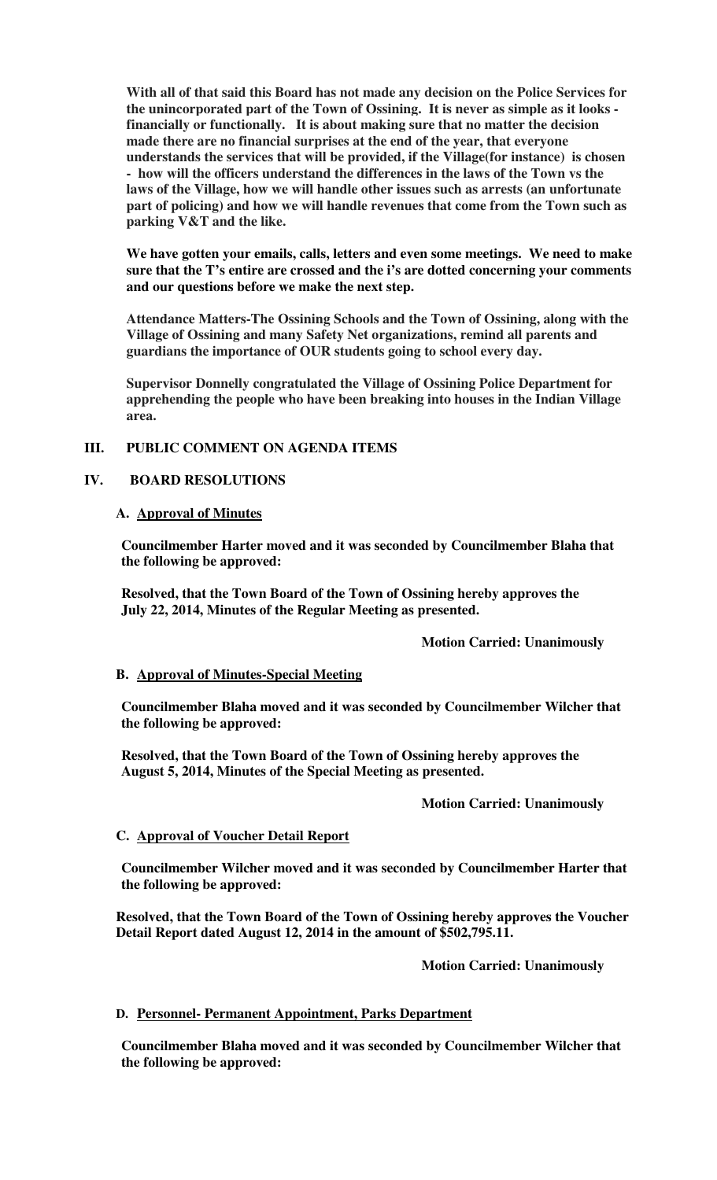**With all of that said this Board has not made any decision on the Police Services for the unincorporated part of the Town of Ossining. It is never as simple as it looks financially or functionally. It is about making sure that no matter the decision made there are no financial surprises at the end of the year, that everyone understands the services that will be provided, if the Village(for instance) is chosen - how will the officers understand the differences in the laws of the Town vs the laws of the Village, how we will handle other issues such as arrests (an unfortunate part of policing) and how we will handle revenues that come from the Town such as parking V&T and the like.** 

**We have gotten your emails, calls, letters and even some meetings. We need to make sure that the T's entire are crossed and the i's are dotted concerning your comments and our questions before we make the next step.** 

**Attendance Matters-The Ossining Schools and the Town of Ossining, along with the Village of Ossining and many Safety Net organizations, remind all parents and guardians the importance of OUR students going to school every day.**

**Supervisor Donnelly congratulated the Village of Ossining Police Department for apprehending the people who have been breaking into houses in the Indian Village area.** 

## **III. PUBLIC COMMENT ON AGENDA ITEMS**

## **IV. BOARD RESOLUTIONS**

#### **A. Approval of Minutes**

**Councilmember Harter moved and it was seconded by Councilmember Blaha that the following be approved:** 

**Resolved, that the Town Board of the Town of Ossining hereby approves the July 22, 2014, Minutes of the Regular Meeting as presented.** 

 **Motion Carried: Unanimously** 

#### **B. Approval of Minutes-Special Meeting**

**Councilmember Blaha moved and it was seconded by Councilmember Wilcher that the following be approved:** 

**Resolved, that the Town Board of the Town of Ossining hereby approves the August 5, 2014, Minutes of the Special Meeting as presented.** 

#### **Motion Carried: Unanimously**

#### **C. Approval of Voucher Detail Report**

**Councilmember Wilcher moved and it was seconded by Councilmember Harter that the following be approved:** 

**Resolved, that the Town Board of the Town of Ossining hereby approves the Voucher Detail Report dated August 12, 2014 in the amount of \$502,795.11.** 

 **Motion Carried: Unanimously** 

#### **D. Personnel- Permanent Appointment, Parks Department**

**Councilmember Blaha moved and it was seconded by Councilmember Wilcher that the following be approved:**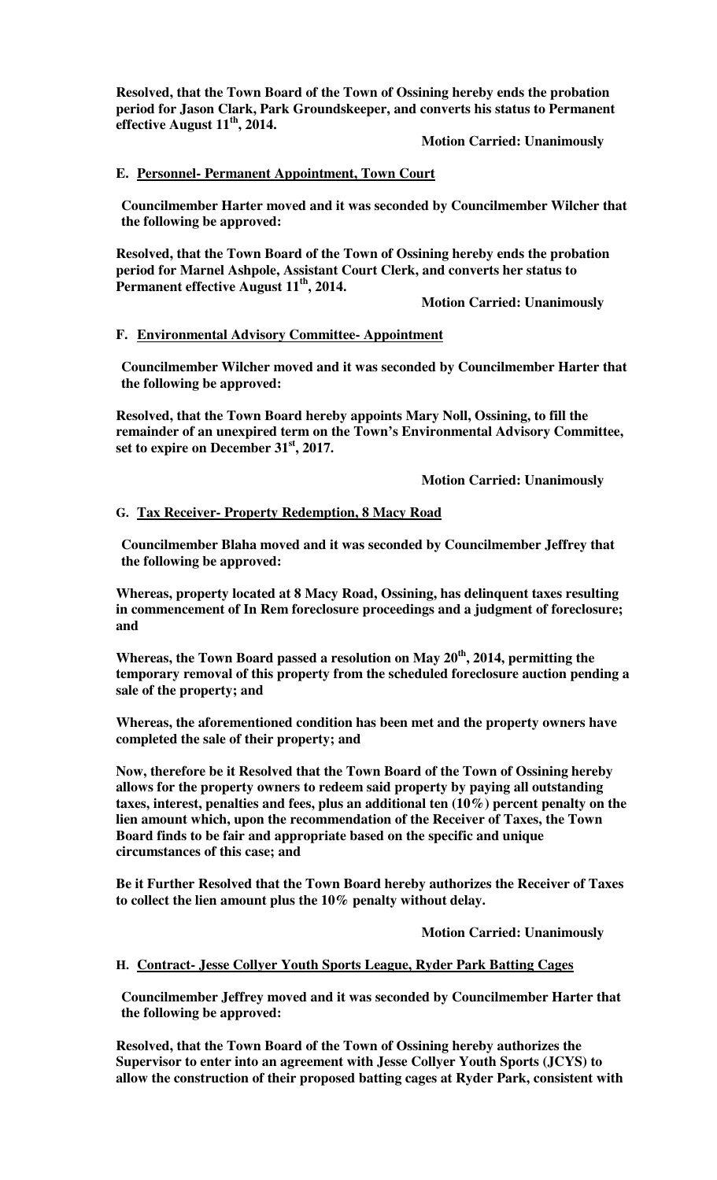**Resolved, that the Town Board of the Town of Ossining hereby ends the probation period for Jason Clark, Park Groundskeeper, and converts his status to Permanent effective August 11th, 2014.** 

### **Motion Carried: Unanimously**

### **E. Personnel- Permanent Appointment, Town Court**

**Councilmember Harter moved and it was seconded by Councilmember Wilcher that the following be approved:** 

**Resolved, that the Town Board of the Town of Ossining hereby ends the probation period for Marnel Ashpole, Assistant Court Clerk, and converts her status to Permanent effective August 11th, 2014.** 

 **Motion Carried: Unanimously** 

#### **F. Environmental Advisory Committee- Appointment**

**Councilmember Wilcher moved and it was seconded by Councilmember Harter that the following be approved:** 

**Resolved, that the Town Board hereby appoints Mary Noll, Ossining, to fill the remainder of an unexpired term on the Town's Environmental Advisory Committee, set to expire on December 31st, 2017.** 

 **Motion Carried: Unanimously** 

### **G. Tax Receiver- Property Redemption, 8 Macy Road**

**Councilmember Blaha moved and it was seconded by Councilmember Jeffrey that the following be approved:** 

**Whereas, property located at 8 Macy Road, Ossining, has delinquent taxes resulting in commencement of In Rem foreclosure proceedings and a judgment of foreclosure; and** 

**Whereas, the Town Board passed a resolution on May 20th, 2014, permitting the temporary removal of this property from the scheduled foreclosure auction pending a sale of the property; and** 

**Whereas, the aforementioned condition has been met and the property owners have completed the sale of their property; and** 

**Now, therefore be it Resolved that the Town Board of the Town of Ossining hereby allows for the property owners to redeem said property by paying all outstanding taxes, interest, penalties and fees, plus an additional ten (10%) percent penalty on the lien amount which, upon the recommendation of the Receiver of Taxes, the Town Board finds to be fair and appropriate based on the specific and unique circumstances of this case; and** 

**Be it Further Resolved that the Town Board hereby authorizes the Receiver of Taxes to collect the lien amount plus the 10% penalty without delay.** 

 **Motion Carried: Unanimously** 

#### **H. Contract- Jesse Collyer Youth Sports League, Ryder Park Batting Cages**

**Councilmember Jeffrey moved and it was seconded by Councilmember Harter that the following be approved:** 

**Resolved, that the Town Board of the Town of Ossining hereby authorizes the Supervisor to enter into an agreement with Jesse Collyer Youth Sports (JCYS) to allow the construction of their proposed batting cages at Ryder Park, consistent with**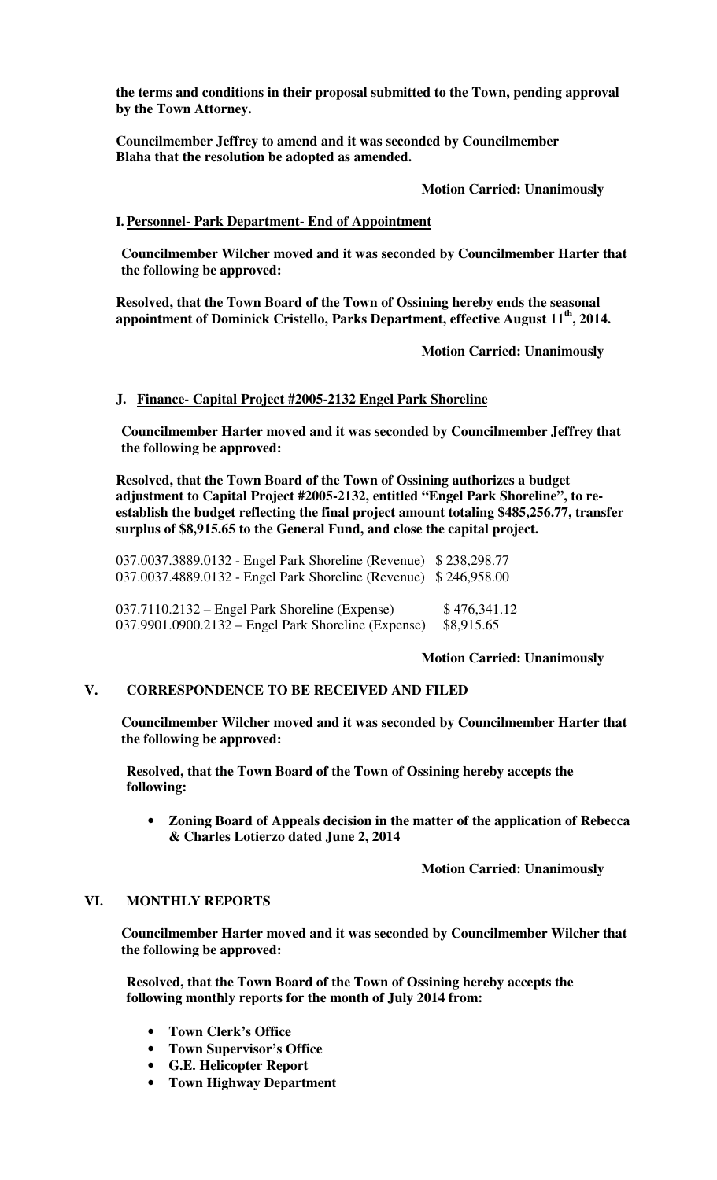**the terms and conditions in their proposal submitted to the Town, pending approval by the Town Attorney.** 

**Councilmember Jeffrey to amend and it was seconded by Councilmember Blaha that the resolution be adopted as amended.** 

 **Motion Carried: Unanimously** 

# **I. Personnel- Park Department- End of Appointment**

**Councilmember Wilcher moved and it was seconded by Councilmember Harter that the following be approved:** 

**Resolved, that the Town Board of the Town of Ossining hereby ends the seasonal appointment of Dominick Cristello, Parks Department, effective August 11th, 2014.** 

 **Motion Carried: Unanimously** 

## **J. Finance- Capital Project #2005-2132 Engel Park Shoreline**

**Councilmember Harter moved and it was seconded by Councilmember Jeffrey that the following be approved:** 

**Resolved, that the Town Board of the Town of Ossining authorizes a budget adjustment to Capital Project #2005-2132, entitled "Engel Park Shoreline", to reestablish the budget reflecting the final project amount totaling \$485,256.77, transfer surplus of \$8,915.65 to the General Fund, and close the capital project.** 

037.0037.3889.0132 - Engel Park Shoreline (Revenue) \$ 238,298.77 037.0037.4889.0132 - Engel Park Shoreline (Revenue) \$ 246,958.00

037.7110.2132 – Engel Park Shoreline (Expense) \$476,341.12 037.9901.0900.2132 – Engel Park Shoreline (Expense) \$8,915.65

## **Motion Carried: Unanimously**

## **V. CORRESPONDENCE TO BE RECEIVED AND FILED**

**Councilmember Wilcher moved and it was seconded by Councilmember Harter that the following be approved:** 

**Resolved, that the Town Board of the Town of Ossining hereby accepts the following:** 

• **Zoning Board of Appeals decision in the matter of the application of Rebecca & Charles Lotierzo dated June 2, 2014** 

 **Motion Carried: Unanimously**

## **VI. MONTHLY REPORTS**

**Councilmember Harter moved and it was seconded by Councilmember Wilcher that the following be approved:** 

**Resolved, that the Town Board of the Town of Ossining hereby accepts the following monthly reports for the month of July 2014 from:** 

- **Town Clerk's Office**
- **Town Supervisor's Office**
- **G.E. Helicopter Report**
- **Town Highway Department**